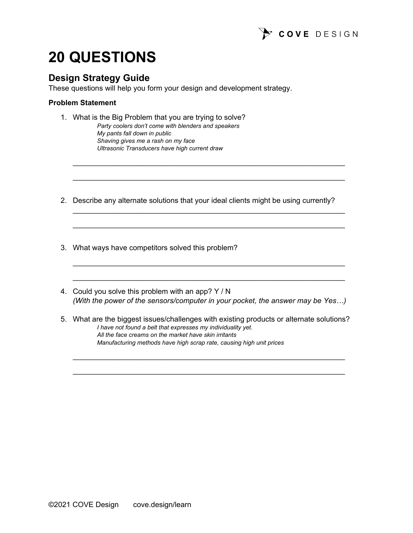

# **20 QUESTIONS**

## **Design Strategy Guide**

These questions will help you form your design and development strategy.

#### **Problem Statement**

- 1. What is the Big Problem that you are trying to solve?
	- *Party coolers don't come with blenders and speakers My pants fall down in public Shaving gives me a rash on my face Ultrasonic Transducers have high current draw*
- 2. Describe any alternate solutions that your ideal clients might be using currently?

 $\frac{1}{2}$  ,  $\frac{1}{2}$  ,  $\frac{1}{2}$  ,  $\frac{1}{2}$  ,  $\frac{1}{2}$  ,  $\frac{1}{2}$  ,  $\frac{1}{2}$  ,  $\frac{1}{2}$  ,  $\frac{1}{2}$  ,  $\frac{1}{2}$  ,  $\frac{1}{2}$  ,  $\frac{1}{2}$  ,  $\frac{1}{2}$  ,  $\frac{1}{2}$  ,  $\frac{1}{2}$  ,  $\frac{1}{2}$  ,  $\frac{1}{2}$  ,  $\frac{1}{2}$  ,  $\frac{1$ 

 $\frac{1}{2}$  , and the set of the set of the set of the set of the set of the set of the set of the set of the set of the set of the set of the set of the set of the set of the set of the set of the set of the set of the set

 $\mathcal{L}_\text{max}$  and  $\mathcal{L}_\text{max}$  and  $\mathcal{L}_\text{max}$  and  $\mathcal{L}_\text{max}$  and  $\mathcal{L}_\text{max}$  and  $\mathcal{L}_\text{max}$ 

 $\frac{1}{2}$  ,  $\frac{1}{2}$  ,  $\frac{1}{2}$  ,  $\frac{1}{2}$  ,  $\frac{1}{2}$  ,  $\frac{1}{2}$  ,  $\frac{1}{2}$  ,  $\frac{1}{2}$  ,  $\frac{1}{2}$  ,  $\frac{1}{2}$  ,  $\frac{1}{2}$  ,  $\frac{1}{2}$  ,  $\frac{1}{2}$  ,  $\frac{1}{2}$  ,  $\frac{1}{2}$  ,  $\frac{1}{2}$  ,  $\frac{1}{2}$  ,  $\frac{1}{2}$  ,  $\frac{1$ 

 $\frac{1}{2}$  , and the set of the set of the set of the set of the set of the set of the set of the set of the set of the set of the set of the set of the set of the set of the set of the set of the set of the set of the set

 $\frac{1}{2}$  , and the set of the set of the set of the set of the set of the set of the set of the set of the set of the set of the set of the set of the set of the set of the set of the set of the set of the set of the set

- 3. What ways have competitors solved this problem?
- 4. Could you solve this problem with an app? Y / N *(With the power of the sensors/computer in your pocket, the answer may be Yes…)*
- 5. What are the biggest issues/challenges with existing products or alternate solutions? *I have not found a belt that expresses my individuality yet. All the face creams on the market have skin irritants Manufacturing methods have high scrap rate, causing high unit prices*

 $\mathcal{L}_\text{max}$  and  $\mathcal{L}_\text{max}$  and  $\mathcal{L}_\text{max}$  and  $\mathcal{L}_\text{max}$  and  $\mathcal{L}_\text{max}$  and  $\mathcal{L}_\text{max}$ 

 $\mathcal{L}_\text{max}$  and  $\mathcal{L}_\text{max}$  and  $\mathcal{L}_\text{max}$  and  $\mathcal{L}_\text{max}$  and  $\mathcal{L}_\text{max}$  and  $\mathcal{L}_\text{max}$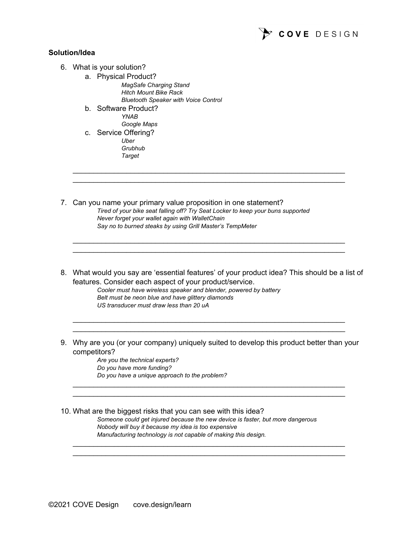

#### **Solution/Idea**

- 6. What is your solution?
	- a. Physical Product? *MagSafe Charging Stand Hitch Mount Bike Rack Bluetooth Speaker with Voice Control*
	- b. Software Product? *YNAB Google Maps*
	- c. Service Offering? *Uber Grubhub Target*
- 7. Can you name your primary value proposition in one statement? *Tired of your bike seat falling off? Try Seat Locker to keep your buns supported Never forget your wallet again with WalletChain Say no to burned steaks by using Grill Master's TempMeter*
- 8. What would you say are 'essential features' of your product idea? This should be a list of features. Consider each aspect of your product/service.

 $\mathcal{L}_\text{max}$  and  $\mathcal{L}_\text{max}$  and  $\mathcal{L}_\text{max}$  and  $\mathcal{L}_\text{max}$  and  $\mathcal{L}_\text{max}$  and  $\mathcal{L}_\text{max}$  $\frac{1}{2}$  ,  $\frac{1}{2}$  ,  $\frac{1}{2}$  ,  $\frac{1}{2}$  ,  $\frac{1}{2}$  ,  $\frac{1}{2}$  ,  $\frac{1}{2}$  ,  $\frac{1}{2}$  ,  $\frac{1}{2}$  ,  $\frac{1}{2}$  ,  $\frac{1}{2}$  ,  $\frac{1}{2}$  ,  $\frac{1}{2}$  ,  $\frac{1}{2}$  ,  $\frac{1}{2}$  ,  $\frac{1}{2}$  ,  $\frac{1}{2}$  ,  $\frac{1}{2}$  ,  $\frac{1$ 

 $\frac{1}{2}$  ,  $\frac{1}{2}$  ,  $\frac{1}{2}$  ,  $\frac{1}{2}$  ,  $\frac{1}{2}$  ,  $\frac{1}{2}$  ,  $\frac{1}{2}$  ,  $\frac{1}{2}$  ,  $\frac{1}{2}$  ,  $\frac{1}{2}$  ,  $\frac{1}{2}$  ,  $\frac{1}{2}$  ,  $\frac{1}{2}$  ,  $\frac{1}{2}$  ,  $\frac{1}{2}$  ,  $\frac{1}{2}$  ,  $\frac{1}{2}$  ,  $\frac{1}{2}$  ,  $\frac{1$  $\mathcal{L}_\text{max}$  and  $\mathcal{L}_\text{max}$  and  $\mathcal{L}_\text{max}$  and  $\mathcal{L}_\text{max}$  and  $\mathcal{L}_\text{max}$  and  $\mathcal{L}_\text{max}$ 

*Cooler must have wireless speaker and blender, powered by battery Belt must be neon blue and have glittery diamonds US transducer must draw less than 20 uA*

9. Why are you (or your company) uniquely suited to develop this product better than your competitors?

 $\frac{1}{2}$  ,  $\frac{1}{2}$  ,  $\frac{1}{2}$  ,  $\frac{1}{2}$  ,  $\frac{1}{2}$  ,  $\frac{1}{2}$  ,  $\frac{1}{2}$  ,  $\frac{1}{2}$  ,  $\frac{1}{2}$  ,  $\frac{1}{2}$  ,  $\frac{1}{2}$  ,  $\frac{1}{2}$  ,  $\frac{1}{2}$  ,  $\frac{1}{2}$  ,  $\frac{1}{2}$  ,  $\frac{1}{2}$  ,  $\frac{1}{2}$  ,  $\frac{1}{2}$  ,  $\frac{1$  $\mathcal{L}_\text{max}$  and  $\mathcal{L}_\text{max}$  and  $\mathcal{L}_\text{max}$  and  $\mathcal{L}_\text{max}$  and  $\mathcal{L}_\text{max}$  and  $\mathcal{L}_\text{max}$ 

 $\frac{1}{2}$  , and the set of the set of the set of the set of the set of the set of the set of the set of the set of the set of the set of the set of the set of the set of the set of the set of the set of the set of the set  $\mathcal{L}_\text{max}$  and  $\mathcal{L}_\text{max}$  and  $\mathcal{L}_\text{max}$  and  $\mathcal{L}_\text{max}$  and  $\mathcal{L}_\text{max}$  and  $\mathcal{L}_\text{max}$ 

*Are you the technical experts? Do you have more funding? Do you have a unique approach to the problem?*

10. What are the biggest risks that you can see with this idea?

*Someone could get injured because the new device is faster, but more dangerous Nobody will buy it because my idea is too expensive Manufacturing technology is not capable of making this design.*

 $\frac{1}{2}$  , and the set of the set of the set of the set of the set of the set of the set of the set of the set of the set of the set of the set of the set of the set of the set of the set of the set of the set of the set  $\mathcal{L}_\text{max}$  and  $\mathcal{L}_\text{max}$  and  $\mathcal{L}_\text{max}$  and  $\mathcal{L}_\text{max}$  and  $\mathcal{L}_\text{max}$  and  $\mathcal{L}_\text{max}$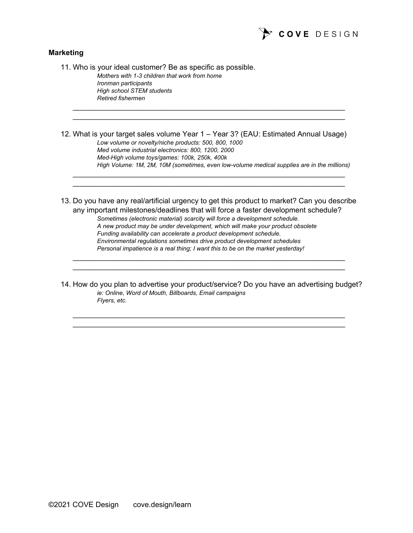

#### **Marketing**

11. Who is your ideal customer? Be as specific as possible. *Mothers with 1-3 children that work from home Ironman participants High school STEM students Retired fishermen*  $\mathcal{L}_\text{max}$  and  $\mathcal{L}_\text{max}$  and  $\mathcal{L}_\text{max}$  and  $\mathcal{L}_\text{max}$  and  $\mathcal{L}_\text{max}$  and  $\mathcal{L}_\text{max}$  $\frac{1}{2}$  , and the set of the set of the set of the set of the set of the set of the set of the set of the set of the set of the set of the set of the set of the set of the set of the set of the set of the set of the set 12. What is your target sales volume Year 1 – Year 3? (EAU: Estimated Annual Usage) *Low volume or novelty/niche products: 500, 800, 1000 Med volume industrial electronics: 800, 1200, 2000 Med-High volume toys/games: 100k, 250k, 400k High Volume: 1M, 2M, 10M (sometimes, even low-volume medical supplies are in the millions)*  $\mathcal{L}_\text{max}$  and  $\mathcal{L}_\text{max}$  and  $\mathcal{L}_\text{max}$  and  $\mathcal{L}_\text{max}$  and  $\mathcal{L}_\text{max}$  and  $\mathcal{L}_\text{max}$  $\mathcal{L}_\text{max}$  and  $\mathcal{L}_\text{max}$  and  $\mathcal{L}_\text{max}$  and  $\mathcal{L}_\text{max}$  and  $\mathcal{L}_\text{max}$  and  $\mathcal{L}_\text{max}$ 13. Do you have any real/artificial urgency to get this product to market? Can you describe any important milestones/deadlines that will force a faster development schedule? *Sometimes (electronic material) scarcity will force a development schedule. A new product may be under development, which will make your product obsolete Funding availability can accelerate a product development schedule. Environmental regulations sometimes drive product development schedules Personal impatience is a real thing; I want this to be on the market yesterday!*  $\frac{1}{2}$  ,  $\frac{1}{2}$  ,  $\frac{1}{2}$  ,  $\frac{1}{2}$  ,  $\frac{1}{2}$  ,  $\frac{1}{2}$  ,  $\frac{1}{2}$  ,  $\frac{1}{2}$  ,  $\frac{1}{2}$  ,  $\frac{1}{2}$  ,  $\frac{1}{2}$  ,  $\frac{1}{2}$  ,  $\frac{1}{2}$  ,  $\frac{1}{2}$  ,  $\frac{1}{2}$  ,  $\frac{1}{2}$  ,  $\frac{1}{2}$  ,  $\frac{1}{2}$  ,  $\frac{1$  $\mathcal{L}_\text{max}$  and  $\mathcal{L}_\text{max}$  and  $\mathcal{L}_\text{max}$  and  $\mathcal{L}_\text{max}$  and  $\mathcal{L}_\text{max}$  and  $\mathcal{L}_\text{max}$ 

14. How do you plan to advertise your product/service? Do you have an advertising budget? *ie: Online, Word of Mouth, Billboards, Email campaigns Flyers, etc.*

 $\mathcal{L}_\text{max}$  and  $\mathcal{L}_\text{max}$  and  $\mathcal{L}_\text{max}$  and  $\mathcal{L}_\text{max}$  and  $\mathcal{L}_\text{max}$  and  $\mathcal{L}_\text{max}$  $\frac{1}{2}$  ,  $\frac{1}{2}$  ,  $\frac{1}{2}$  ,  $\frac{1}{2}$  ,  $\frac{1}{2}$  ,  $\frac{1}{2}$  ,  $\frac{1}{2}$  ,  $\frac{1}{2}$  ,  $\frac{1}{2}$  ,  $\frac{1}{2}$  ,  $\frac{1}{2}$  ,  $\frac{1}{2}$  ,  $\frac{1}{2}$  ,  $\frac{1}{2}$  ,  $\frac{1}{2}$  ,  $\frac{1}{2}$  ,  $\frac{1}{2}$  ,  $\frac{1}{2}$  ,  $\frac{1$